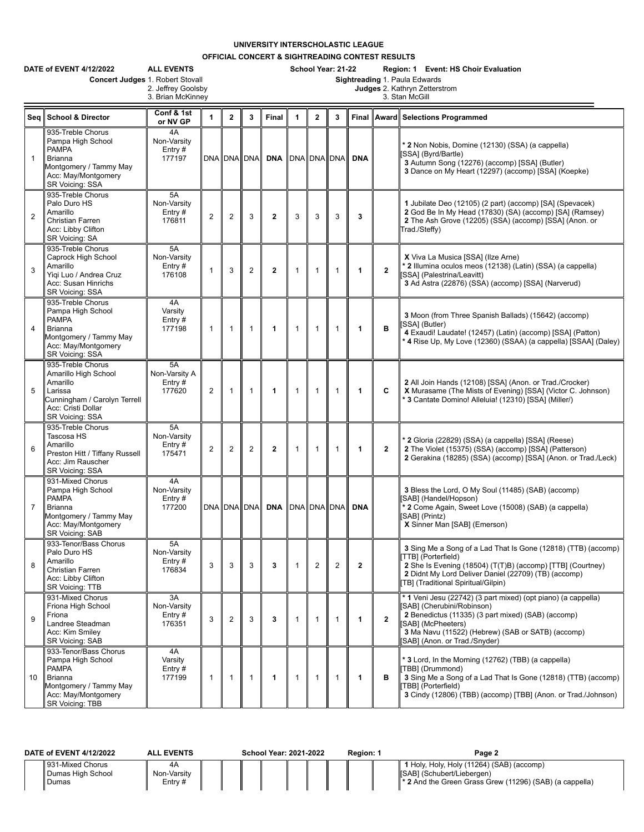## **UNIVERSITY INTERSCHOLASTIC LEAGUE**

**OFFICIAL CONCERT & SIGHTREADING CONTEST RESULTS**

|                | DATE of EVENT 4/12/2022<br>Concert Judges 1. Robert Stovall                                                                                      | <b>ALL EVENTS</b><br>2. Jeffrey Goolsby<br>3. Brian McKinney |                |                |                    |                 | School Year: 21-22<br>Region: 1 Event: HS Choir Evaluation<br>Sightreading 1. Paula Edwards<br>Judges 2. Kathryn Zetterstrom<br>3. Stan McGill |                |              |                |              |                                                                                                                                                                                                                                                              |  |  |  |
|----------------|--------------------------------------------------------------------------------------------------------------------------------------------------|--------------------------------------------------------------|----------------|----------------|--------------------|-----------------|------------------------------------------------------------------------------------------------------------------------------------------------|----------------|--------------|----------------|--------------|--------------------------------------------------------------------------------------------------------------------------------------------------------------------------------------------------------------------------------------------------------------|--|--|--|
| Seq            | <b>School &amp; Director</b>                                                                                                                     | Conf & 1st<br>or NV GP                                       | $\mathbf{1}$   | $\overline{2}$ | 3                  | Final           | 1                                                                                                                                              | $\mathbf{2}$   | 3            | Final          | Award        | <b>Selections Programmed</b>                                                                                                                                                                                                                                 |  |  |  |
| $\mathbf{1}$   | 935-Treble Chorus<br>Pampa High School<br><b>PAMPA</b><br>Brianna<br>Montgomery / Tammy May<br>Acc: May/Montgomery<br>SR Voicing: SSA            | 4A<br>Non-Varsity<br>Entry $#$<br>177197                     |                |                | DNA DNA DNA        | DNA DNA DNA DNA |                                                                                                                                                |                |              | <b>DNA</b>     |              | <sup>*</sup> 2 Non Nobis, Domine (12130) (SSA) (a cappella)<br>SSA] (Byrd/Bartle)<br>3 Autumn Song (12276) (accomp) [SSA] (Butler)<br>3 Dance on My Heart (12297) (accomp) [SSA] (Koepke)                                                                    |  |  |  |
| $\overline{2}$ | 935-Treble Chorus<br>Palo Duro HS<br>Amarillo<br>Christian Farren<br>Acc: Libby Clifton<br>SR Voicing: SA                                        | 5A<br>Non-Varsity<br>Entry#<br>176811                        | $\overline{2}$ | $\overline{2}$ | 3                  | $\mathbf{2}$    | 3                                                                                                                                              | 3              | 3            | 3              |              | 1 Jubilate Deo (12105) (2 part) (accomp) [SA] (Spevacek)<br>2 God Be In My Head (17830) (SA) (accomp) [SA] (Ramsey)<br>2 The Ash Grove (12205) (SSA) (accomp) [SSA] (Anon. or<br>Trad./Steffy)                                                               |  |  |  |
| 3              | 935-Treble Chorus<br>Caprock High School<br>Amarillo<br>Yigi Luo / Andrea Cruz<br>Acc: Susan Hinrichs<br>SR Voicing: SSA                         | 5A<br>Non-Varsity<br>Entry $#$<br>176108                     | $\overline{1}$ | 3              | $\overline{2}$     | $\mathbf{2}$    | $\mathbf{1}$                                                                                                                                   | $\mathbf{1}$   | $\mathbf{1}$ | $\mathbf{1}$   | $\mathbf{2}$ | X Viva La Musica [SSA] (Ilze Arne)<br>* 2 Illumina oculos meos (12138) (Latin) (SSA) (a cappella)<br>[SSA] (Palestrina/Leavitt)<br>3 Ad Astra (22876) (SSA) (accomp) [SSA] (Narverud)                                                                        |  |  |  |
| $\overline{4}$ | 935-Treble Chorus<br>Pampa High School<br><b>PAMPA</b><br><b>Brianna</b><br>Montgomery / Tammy May<br>Acc: May/Montgomery<br>SR Voicing: SSA     | 4A<br>Varsity<br>Entry $#$<br>177198                         | $\mathbf{1}$   | $\mathbf{1}$   | $\mathbf{1}$       | 1               | $\mathbf{1}$                                                                                                                                   | $\mathbf{1}$   | $\mathbf{1}$ | 1              | в            | 3 Moon (from Three Spanish Ballads) (15642) (accomp)<br>[SSA] (Butler)<br>4 Exaudi! Laudate! (12457) (Latin) (accomp) [SSA] (Patton)<br>4 Rise Up, My Love (12360) (SSAA) (a cappella) [SSAA] (Daley)                                                        |  |  |  |
| 5              | 935-Treble Chorus<br>Amarillo High School<br>Amarillo<br>Larissa<br>Cunningham / Carolyn Terrell<br>Acc: Cristi Dollar<br>SR Voicing: SSA        | 5A<br>Non-Varsity A<br>Entry#<br>177620                      | 2              | $\mathbf{1}$   | $\mathbf{1}$       | 1               | $\mathbf{1}$                                                                                                                                   | $\mathbf{1}$   | $\mathbf{1}$ | $\mathbf{1}$   | C            | 2 All Join Hands (12108) [SSA] (Anon. or Trad./Crocker)<br>X Murasame (The Mists of Evening) [SSA] (Victor C. Johnson)<br>* 3 Cantate Domino! Alleluia! (12310) [SSA] (Miller/)                                                                              |  |  |  |
| 6              | 935-Treble Chorus<br>Tascosa HS<br>Amarillo<br>Preston Hitt / Tiffany Russell<br>Acc: Jim Rauscher<br><b>SR Voicing: SSA</b>                     | 5A<br>Non-Varsity<br>Entry#<br>175471                        | $\overline{2}$ | $\overline{2}$ | $\overline{2}$     | $\mathbf{2}$    | $\mathbf{1}$                                                                                                                                   | $\mathbf{1}$   | $\mathbf{1}$ | 1              | $\mathbf{2}$ | * 2 Gloria (22829) (SSA) (a cappella) [SSA] (Reese)<br>2 The Violet (15375) (SSA) (accomp) [SSA] (Patterson)<br>2 Gerakina (18285) (SSA) (accomp) [SSA] (Anon. or Trad./Leck)                                                                                |  |  |  |
| $\overline{7}$ | 931-Mixed Chorus<br>Pampa High School<br><b>PAMPA</b><br><b>Brianna</b><br>Montgomery / Tammy May<br>Acc: May/Montgomery<br>SR Voicing: SAB      | 4A<br>Non-Varsity<br>Entry $#$<br>177200                     |                |                | <b>DNA DNA DNA</b> | <b>DNA</b>      | DNA DNA DNA                                                                                                                                    |                |              | <b>DNA</b>     |              | 3 Bless the Lord, O My Soul (11485) (SAB) (accomp)<br>SAB] (Handel/Hopson)<br>* 2 Come Again, Sweet Love (15008) (SAB) (a cappella)<br>[SAB] (Printz)<br>X Sinner Man [SAB] (Emerson)                                                                        |  |  |  |
| 8              | 933-Tenor/Bass Chorus<br>Palo Duro HS<br>Amarillo<br>Christian Farren<br>Acc: Libby Clifton<br><b>SR Voicing: TTB</b>                            | 5A<br>Non-Varsity<br>Entry#<br>176834                        | 3              | 3              | 3                  | 3               | $\mathbf{1}$                                                                                                                                   | $\overline{2}$ | $\mathbf{2}$ | $\overline{2}$ |              | 3 Sing Me a Song of a Lad That Is Gone (12818) (TTB) (accomp)<br>TTB] (Porterfield)<br>2 She Is Evening (18504) (T(T)B) (accomp) [TTB] (Courtney)<br>2 Didnt My Lord Deliver Daniel (22709) (TB) (accomp)<br>TB] (Traditional Spiritual/Gilpin)              |  |  |  |
| 9              | 931-Mixed Chorus<br>Friona High School<br>Friona<br>Landree Steadman<br>Acc: Kim Smiley<br>SR Voicing: SAB                                       | 3A<br>Non-Varsity<br>Entry#<br>176351                        | 3              | $\overline{2}$ | 3                  | 3               | $\mathbf{1}$                                                                                                                                   | $\mathbf{1}$   | $\mathbf{1}$ | $\mathbf{1}$   | $\mathbf{2}$ | * 1 Veni Jesu (22742) (3 part mixed) (opt piano) (a cappella)<br>[SAB] (Cherubini/Robinson)<br>2 Benedictus (11335) (3 part mixed) (SAB) (accomp)<br>(SABI (McPheeters)<br>3 Ma Navu (11522) (Hebrew) (SAB or SATB) (accomp)<br>SAB] (Anon. or Trad./Snyder) |  |  |  |
| 10             | 933-Tenor/Bass Chorus<br>Pampa High School<br><b>PAMPA</b><br><b>Brianna</b><br>Montgomery / Tammy May<br>Acc: May/Montgomery<br>SR Voicing: TBB | 4A<br>Varsity<br>Entry $#$<br>177199                         | $\mathbf{1}$   | $\mathbf{1}$   | $\mathbf{1}$       | $\mathbf{1}$    | $\mathbf{1}$                                                                                                                                   | $\mathbf{1}$   | $\mathbf{1}$ | $\mathbf{1}$   | в            | <b>3</b> Lord, In the Morning (12762) (TBB) (a cappella)<br>TBB] (Drummond)<br>3 Sing Me a Song of a Lad That Is Gone (12818) (TTB) (accomp)<br>TBB] (Porterfield)<br>3 Cindy (12806) (TBB) (accomp) [TBB] (Anon. or Trad./Johnson)                          |  |  |  |

| DATE of EVENT 4/12/2022                        | <b>ALL EVENTS</b>      |  | <b>School Year: 2021-2022</b> |  | Region: 1 | Page 2                                                                                                                                         |
|------------------------------------------------|------------------------|--|-------------------------------|--|-----------|------------------------------------------------------------------------------------------------------------------------------------------------|
| 931-Mixed Chorus<br>Dumas High School<br>Dumas | Non-Varsity<br>Entry # |  |                               |  |           | 1 Holy, Holy, Holy (11264) (SAB) (accomp)<br>[SAB] (Schubert/Liebergen)<br>$\parallel^*$ 2 And the Green Grass Grew (11296) (SAB) (a cappella) |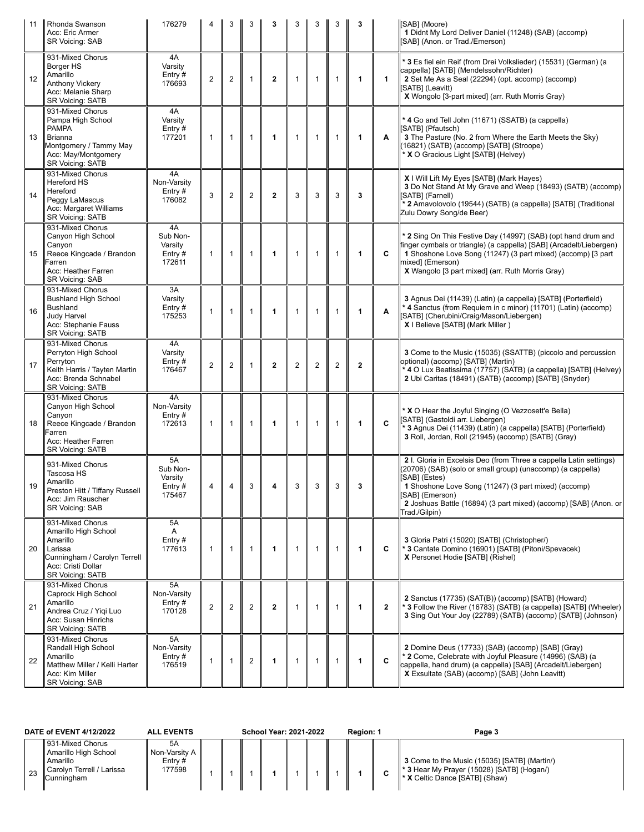| 11 | Rhonda Swanson<br>Acc: Eric Armer<br>SR Voicing: SAB                                                                                                | 176279                                        |                         |                | 3                | 3              | 3              | 3              | 3              | 3                    |                | [SAB] (Moore)<br>1 Didnt My Lord Deliver Daniel (11248) (SAB) (accomp)<br>[SAB] (Anon. or Trad./Emerson)                                                                                                                                                                                                           |
|----|-----------------------------------------------------------------------------------------------------------------------------------------------------|-----------------------------------------------|-------------------------|----------------|------------------|----------------|----------------|----------------|----------------|----------------------|----------------|--------------------------------------------------------------------------------------------------------------------------------------------------------------------------------------------------------------------------------------------------------------------------------------------------------------------|
| 12 | 931-Mixed Chorus<br>Borger HS<br>Amarillo<br>Anthony Vickery<br>Acc: Melanie Sharp<br><b>SR Voicing: SATB</b>                                       | 4A<br>Varsity<br>Entry $#$<br>176693          | $\overline{2}$          | $\overline{2}$ | $\mathbf{1}$     | $\mathbf{2}$   | $\mathbf{1}$   | $\mathbf{1}$   | $\overline{1}$ | $\blacktriangleleft$ | 1              | * 3 Es fiel ein Reif (from Drei Volkslieder) (15531) (German) (a<br>cappella) [SATB] (Mendelssohn/Richter)<br>2 Set Me As a Seal (22294) (opt. accomp) (accomp)<br>[SATB] (Leavitt)<br>X Wongolo [3-part mixed] (arr. Ruth Morris Gray)                                                                            |
| 13 | 931-Mixed Chorus<br>Pampa High School<br><b>PAMPA</b><br><b>Brianna</b><br>Montgomery / Tammy May<br>Acc: May/Montgomery<br><b>SR Voicing: SATB</b> | 4A<br>Varsity<br>Entry#<br>177201             | $\mathbf{1}$            | $\mathbf{1}$   | $\mathbf{1}$     | 1              | $\mathbf{1}$   | $\mathbf{1}$   | $\mathbf{1}$   | 1                    | A              | * 4 Go and Tell John (11671) (SSATB) (a cappella)<br>[SATB] (Pfautsch)<br>3 The Pasture (No. 2 from Where the Earth Meets the Sky)<br>(16821) (SATB) (accomp) [SATB] (Stroope)<br>* X O Gracious Light [SATB] (Helvey)                                                                                             |
| 14 | 931-Mixed Chorus<br><b>Hereford HS</b><br>Hereford<br>Peggy LaMascus<br>Acc: Margaret Williams<br><b>SR Voicing: SATB</b>                           | 4A<br>Non-Varsity<br>Entry#<br>176082         | 3                       | $\overline{2}$ | $\overline{2}$   | $\mathbf{2}$   | 3              | 3              | 3              | 3                    |                | X I Will Lift My Eyes [SATB] (Mark Hayes)<br>3 Do Not Stand At My Grave and Weep (18493) (SATB) (accomp)<br>(SATB) (Farnell)<br>* 2 Amavolovolo (19544) (SATB) (a cappella) [SATB] (Traditional<br>Zulu Dowry Song/de Beer)                                                                                        |
| 15 | 931-Mixed Chorus<br>Canyon High School<br>Canyon<br>Reece Kingcade / Brandon<br>Farren<br>Acc: Heather Farren<br>SR Voicing: SAB                    | 4A<br>Sub Non-<br>Varsity<br>Entry#<br>172611 | $\mathbf{1}$            | $\mathbf{1}$   | $\overline{1}$   | 1              | $\mathbf{1}$   | $\mathbf{1}$   | $\mathbf{1}$   | 1                    | C              | * 2 Sing On This Festive Day (14997) (SAB) (opt hand drum and<br>finger cymbals or triangle) (a cappella) [SAB] (Arcadelt/Liebergen)<br>1 Shoshone Love Song (11247) (3 part mixed) (accomp) [3 part<br>mixed] (Emerson)<br>X Wangolo [3 part mixed] (arr. Ruth Morris Gray)                                       |
| 16 | 931-Mixed Chorus<br><b>Bushland High School</b><br><b>Bushland</b><br>Judy Harvel<br>Acc: Stephanie Fauss<br><b>SR Voicing: SATB</b>                | 3A<br>Varsity<br>Entry $#$<br>175253          | $\mathbf{1}$            | $\mathbf{1}$   | $\overline{1}$   | 1              | $\overline{1}$ | $\mathbf{1}$   | $\mathbf{1}$   | 1                    | Α              | 3 Agnus Dei (11439) (Latin) (a cappella) [SATB] (Porterfield)<br>* 4 Sanctus (from Requiem in c minor) (11701) (Latin) (accomp)<br>[SATB] (Cherubini/Craig/Mason/Liebergen)<br>X   Believe [SATB] (Mark Miller)                                                                                                    |
| 17 | 931-Mixed Chorus<br>Perryton High School<br>Perryton<br>Keith Harris / Tayten Martin<br>Acc: Brenda Schnabel<br><b>SR Voicing: SATB</b>             | 4A<br>Varsity<br>Entry#<br>176467             | $\overline{2}$          | $\overline{2}$ | $\overline{1}$   | $\overline{2}$ | $\overline{2}$ | $\overline{2}$ | $\overline{2}$ | $\overline{2}$       |                | 3 Come to the Music (15035) (SSATTB) (piccolo and percussion<br>optional) (accomp) [SATB] (Martin)<br>* 4 O Lux Beatissima (17757) (SATB) (a cappella) [SATB] (Helvey)<br>2 Ubi Caritas (18491) (SATB) (accomp) [SATB] (Snyder)                                                                                    |
| 18 | 931-Mixed Chorus<br>Canyon High School<br>Canyon<br>Reece Kingcade / Brandon<br>Farren<br>Acc: Heather Farren<br><b>SR Voicing: SATB</b>            | 4A<br>Non-Varsity<br>Entry#<br>172613         | $\mathbf{1}$            | $\mathbf{1}$   | $\overline{1}$   | 1              | $\mathbf{1}$   | $\mathbf{1}$   | $\mathbf{1}$   | 1                    | C              | * X O Hear the Joyful Singing (O Vezzosett'e Bella)<br>[SATB] (Gastoldi arr. Liebergen)<br>* 3 Agnus Dei (11439) (Latin) (a cappella) [SATB] (Porterfield)<br>3 Roll, Jordan, Roll (21945) (accomp) [SATB] (Gray)                                                                                                  |
| 19 | 931-Mixed Chorus<br>Tascosa HS<br>Amarillo<br>Preston Hitt / Tiffany Russell<br>Acc: Jim Rauscher<br>SR Voicing: SAB                                | 5A<br>Sub Non-<br>Varsity<br>Entry#<br>175467 | 4                       | $\Delta$       | $\mathbf{R}$     |                | 3              | 3              | 3              | 3                    |                | 2 I. Gloria in Excelsis Deo (from Three a cappella Latin settings)<br>(20706) (SAB) (solo or small group) (unaccomp) (a cappella)<br>[SAB] (Estes)<br>1 Shoshone Love Song (11247) (3 part mixed) (accomp)<br>[SAB] (Emerson)<br>2 Joshuas Battle (16894) (3 part mixed) (accomp) [SAB] (Anon. or<br>Trad./Gilpin) |
| 20 | 931-Mixed Chorus<br>Amarillo High School<br>Amarillo<br>Larissa<br>Cunningham / Carolyn Terrell<br>Acc: Cristi Dollar<br><b>SR Voicing: SATB</b>    | 5A<br>A<br>Entry#<br>177613                   | $\mathbf{1}$            | $\mathbf{1}$   | $\overline{1}$   | 1              | $\overline{1}$ | $\mathbf{1}$   | $\mathbf{1}$   | 1                    | С              | 3 Gloria Patri (15020) [SATB] (Christopher/)<br>* 3 Cantate Domino (16901) [SATB] (Pitoni/Spevacek)<br>X Personet Hodie [SATB] (Rishel)                                                                                                                                                                            |
| 21 | 931-Mixed Chorus<br>Caprock High School<br>Amarillo<br>Andrea Cruz / Yiqi Luo<br>Acc: Susan Hinrichs<br><b>SR Voicing: SATB</b>                     | 5A<br>Non-Varsity<br>Entry#<br>170128         | $\overline{\mathbf{c}}$ | $\overline{c}$ | $\boldsymbol{2}$ | $\overline{2}$ | $\mathbf{1}$   | $\mathbf{1}$   | $\mathbf{1}$   | 1                    | $\overline{2}$ | 2 Sanctus (17735) (SAT(B)) (accomp) [SATB] (Howard)<br>*3 Follow the River (16783) (SATB) (a cappella) [SATB] (Wheeler)<br>3 Sing Out Your Joy (22789) (SATB) (accomp) [SATB] (Johnson)                                                                                                                            |
| 22 | 931-Mixed Chorus<br>Randall High School<br>Amarillo<br>Matthew Miller / Kelli Harter<br>Acc: Kim Miller<br>SR Voicing: SAB                          | 5A<br>Non-Varsity<br>Entry#<br>176519         | $\mathbf{1}$            | 1              | $\boldsymbol{2}$ | 1              | $\mathbf{1}$   | $\mathbf{1}$   | $\overline{1}$ | 1                    | C              | 2 Domine Deus (17733) (SAB) (accomp) [SAB] (Gray)<br>* 2 Come, Celebrate with Joyful Pleasure (14996) (SAB) (a<br>cappella, hand drum) (a cappella) [SAB] (Arcadelt/Liebergen)<br>X Exsultate (SAB) (accomp) [SAB] (John Leavitt)                                                                                  |

| DATE of EVENT 4/12/2022 |    |                                                                                                 | <b>ALL EVENTS</b>                            |  | <b>School Year: 2021-2022</b> |  | Region: 1 | Page 3 |                                                                                                                                                |
|-------------------------|----|-------------------------------------------------------------------------------------------------|----------------------------------------------|--|-------------------------------|--|-----------|--------|------------------------------------------------------------------------------------------------------------------------------------------------|
|                         | 23 | 931-Mixed Chorus<br>Amarillo High School<br>Amarillo<br>Carolyn Terrell / Larissa<br>Cunningham | 5A<br>l Non-Varsitv A<br>Entry $#$<br>177598 |  |                               |  |           |        | 3 Come to the Music (15035) [SATB] (Martin/)<br><sup>*</sup> 3 Hear My Prayer (15028) [SATB] (Hogan/)<br><b>* X</b> Celtic Dance [SATB] (Shaw) |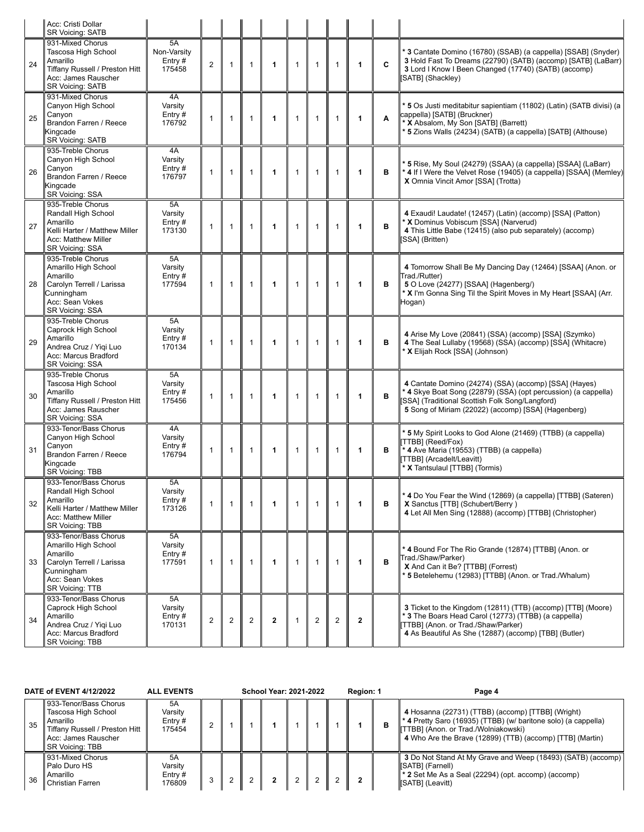|    | Acc: Cristi Dollar<br><b>SR Voicing: SATB</b>                                                                                              |                                       |                |              |                |                      |              |                |                |                |   |                                                                                                                                                                                                                                   |
|----|--------------------------------------------------------------------------------------------------------------------------------------------|---------------------------------------|----------------|--------------|----------------|----------------------|--------------|----------------|----------------|----------------|---|-----------------------------------------------------------------------------------------------------------------------------------------------------------------------------------------------------------------------------------|
| 24 | 931-Mixed Chorus<br>Tascosa High School<br>Amarillo<br>Tiffany Russell / Preston Hitt<br>Acc: James Rauscher<br><b>SR Voicing: SATB</b>    | 5A<br>Non-Varsity<br>Entry#<br>175458 | $\overline{2}$ | $\mathbf{1}$ | $\mathbf{1}$   | $\mathbf{1}$         | $\mathbf{1}$ | $\mathbf{1}$   | $\mathbf{1}$   | 1              | C | * 3 Cantate Domino (16780) (SSAB) (a cappella) [SSAB] (Snyder)<br>3 Hold Fast To Dreams (22790) (SATB) (accomp) [SATB] (LaBarr)<br>3 Lord I Know I Been Changed (17740) (SATB) (accomp)<br>[SATB] (Shackley)                      |
| 25 | 931-Mixed Chorus<br>Canyon High School<br>Canyon<br>Brandon Farren / Reece<br>Kingcade<br>SR Voicing: SATB                                 | 4A<br>Varsity<br>Entry#<br>176792     | $\mathbf{1}$   | $\mathbf{1}$ | $\mathbf{1}$   | $\mathbf{1}$         | $\mathbf{1}$ | $\mathbf{1}$   | $\mathbf{1}$   | 1              | A | 5 Os Justi meditabitur sapientiam (11802) (Latin) (SATB divisi) (a<br>cappella) [SATB] (Bruckner)<br>* X Absalom, My Son [SATB] (Barrett)<br>* 5 Zions Walls (24234) (SATB) (a cappella) [SATB] (Althouse)                        |
| 26 | 935-Treble Chorus<br>Canyon High School<br>Canvon<br>Brandon Farren / Reece<br>Kingcade<br>SR Voicing: SSA                                 | 4A<br>Varsity<br>Entry $#$<br>176797  | $\mathbf{1}$   | $\mathbf{1}$ | $\mathbf{1}$   | 1                    | $\mathbf{1}$ | $\mathbf{1}$   | $\mathbf{1}$   | 1              | в | * 5 Rise, My Soul (24279) (SSAA) (a cappella) [SSAA] (LaBarr)<br>* 4 If I Were the Velvet Rose (19405) (a cappella) [SSAA] (Memley)<br>X Omnia Vincit Amor [SSA] (Trotta)                                                         |
| 27 | 935-Treble Chorus<br>Randall High School<br>Amarillo<br>Kelli Harter / Matthew Miller<br>Acc: Matthew Miller<br>SR Voicing: SSA            | 5A<br>Varsity<br>Entry#<br>173130     | $\mathbf{1}$   | $\mathbf{1}$ | $\mathbf{1}$   | 1                    | $\mathbf{1}$ | $\mathbf{1}$   | $\mathbf{1}$   | 1              | в | 4 Exaudi! Laudate! (12457) (Latin) (accomp) [SSA] (Patton)<br>* X Dominus Vobiscum [SSA] (Narverud)<br>4 This Little Babe (12415) (also pub separately) (accomp)<br>[SSA] (Britten)                                               |
| 28 | 935-Treble Chorus<br>Amarillo High School<br>Amarillo<br>Carolyn Terrell / Larissa<br>Cunningham<br>Acc: Sean Vokes<br>SR Voicing: SSA     | 5A<br>Varsity<br>Entry $#$<br>177594  | $\mathbf{1}$   | $\mathbf{1}$ | $\mathbf{1}$   | 1                    | $\mathbf{1}$ | $\mathbf{1}$   | $\mathbf{1}$   | 1              | B | 4 Tomorrow Shall Be My Dancing Day (12464) [SSAA] (Anon. or<br>Trad./Rutter)<br>5 O Love (24277) [SSAA] (Hagenberg/)<br>* X I'm Gonna Sing Til the Spirit Moves in My Heart [SSAA] (Arr.<br>Hogan)                                |
| 29 | 935-Treble Chorus<br>Caprock High School<br>Amarillo<br>Andrea Cruz / Yiqi Luo<br>Acc: Marcus Bradford<br>SR Voicing: SSA                  | 5A<br>Varsity<br>Entry $#$<br>170134  | $\mathbf{1}$   | $\mathbf{1}$ | $\mathbf{1}$   | $\blacktriangleleft$ | $\mathbf{1}$ | $\mathbf{1}$   | $\mathbf{1}$   | 1              | в | 4 Arise My Love (20841) (SSA) (accomp) [SSA] (Szymko)<br>4 The Seal Lullaby (19568) (SSA) (accomp) [SSA] (Whitacre)<br>* X Elijah Rock [SSA] (Johnson)                                                                            |
| 30 | 935-Treble Chorus<br>Tascosa High School<br>Amarillo<br>Tiffany Russell / Preston Hitt<br>Acc: James Rauscher<br>SR Voicing: SSA           | 5A<br>Varsity<br>Entry $#$<br>175456  | $\mathbf{1}$   | $\mathbf{1}$ | $\mathbf{1}$   | 1                    | $\mathbf{1}$ | $\mathbf{1}$   | $\mathbf{1}$   | 1              | в | 4 Cantate Domino (24274) (SSA) (accomp) [SSA] (Hayes)<br>* 4 Skye Boat Song (22879) (SSA) (opt percussion) (a cappella)<br>[SSA] (Traditional Scottish Folk Song/Langford)<br>5 Song of Miriam (22022) (accomp) [SSA] (Hagenberg) |
| 31 | 933-Tenor/Bass Chorus<br>Canyon High School<br>Canyon<br>Brandon Farren / Reece<br>Kingcade<br><b>SR Voicing: TBB</b>                      | 4A<br>Varsity<br>Entry $#$<br>176794  | $\mathbf{1}$   | $\mathbf{1}$ | $\mathbf{1}$   | 1                    | $\mathbf{1}$ | $\mathbf{1}$   | $\mathbf{1}$   | 1              | в | 5 My Spirit Looks to God Alone (21469) (TTBB) (a cappella)<br>[TTBB] (Reed/Fox)<br>* 4 Ave Maria (19553) (TTBB) (a cappella)<br>[TTBB] (Arcadelt/Leavitt)<br>* X Tantsulaul [TTBB] (Tormis)                                       |
| 32 | 933-Tenor/Bass Chorus<br>Randall High School<br>Amarillo<br>Kelli Harter / Matthew Miller<br>Acc: Matthew Miller<br>SR Voicing: TBB        | 5A<br>Varsity<br>Entry#<br>173126     | $\mathbf{1}$   | $\mathbf{1}$ | $\mathbf{1}$   | 1                    | $\mathbf{1}$ | $\mathbf{1}$   | $\mathbf{1}$   | 1              | в | *4 Do You Fear the Wind (12869) (a cappella) [TTBB] (Sateren)<br>X Sanctus [TTB] (Schubert/Berry)<br>4 Let All Men Sing (12888) (accomp) [TTBB] (Christopher)                                                                     |
| 33 | 933-Tenor/Bass Chorus<br>Amarillo High School<br>Amarillo<br>Carolyn Terrell / Larissa<br>Cunningham<br>Acc: Sean Vokes<br>SR Voicing: TTB | 5A<br>Varsity<br>Entry#<br>177591     | $\mathbf{1}$   | $\mathbf{1}$ | $\mathbf{1}$   | 1                    | $\mathbf{1}$ | $\mathbf{1}$   | $\mathbf{1}$   | 1              | в | 4 Bound For The Rio Grande (12874) [TTBB] (Anon. or<br>Trad./Shaw/Parker)<br>X And Can it Be? [TTBB] (Forrest)<br>* 5 Betelehemu (12983) [TTBB] (Anon. or Trad./Whalum)                                                           |
| 34 | 933-Tenor/Bass Chorus<br>Caprock High School<br>Amarillo<br>Andrea Cruz / Yiqi Luo<br>Acc: Marcus Bradford<br>SR Voicing: TBB              | 5A<br>Varsity<br>Entry $#$<br>170131  | $\overline{2}$ | 2            | $\overline{2}$ | $\mathbf{2}$         | $\mathbf{1}$ | $\overline{2}$ | $\overline{2}$ | $\overline{2}$ |   | 3 Ticket to the Kingdom (12811) (TTB) (accomp) [TTB] (Moore)<br>* 3 The Boars Head Carol (12773) (TTBB) (a cappella)<br>[TTBB] (Anon. or Trad./Shaw/Parker)<br>4 As Beautiful As She (12887) (accomp) [TBB] (Butler)              |

| DATE of EVENT 4/12/2022 |    |                                                                                                                                             | <b>ALL EVENTS</b>                    | <b>School Year: 2021-2022</b> |  |  |  |  |  | Region: 1 |   | Page 4                                                                                                                                                                                                                        |
|-------------------------|----|---------------------------------------------------------------------------------------------------------------------------------------------|--------------------------------------|-------------------------------|--|--|--|--|--|-----------|---|-------------------------------------------------------------------------------------------------------------------------------------------------------------------------------------------------------------------------------|
|                         | 35 | 933-Tenor/Bass Chorus<br>Tascosa High School<br>Amarillo<br>Tiffany Russell / Preston Hitt<br>Acc: James Rauscher<br><b>SR Voicing: TBB</b> | 5Α<br>Varsitv<br>Entry $#$<br>175454 |                               |  |  |  |  |  |           | в | 4 Hosanna (22731) (TTBB) (accomp) [TTBB] (Wright)<br>$\ast$ 4 Pretty Saro (16935) (TTBB) (w/ baritone solo) (a cappella)<br>[TTBB] (Anon. or Trad./Wolniakowski)<br>4 Who Are the Brave (12899) (TTB) (accomp) [TTB] (Martin) |
|                         | 36 | 931-Mixed Chorus<br>Palo Duro HS<br>Amarillo<br>Christian Farren                                                                            | 5A<br>Varsitv<br>Entry $#$<br>176809 |                               |  |  |  |  |  |           |   | 3 Do Not Stand At My Grave and Weep (18493) (SATB) (accomp)<br>[SATB] (Farnell)<br>$\ast$ 2 Set Me As a Seal (22294) (opt. accomp) (accomp)<br>[SATB] (Leavitt)                                                               |